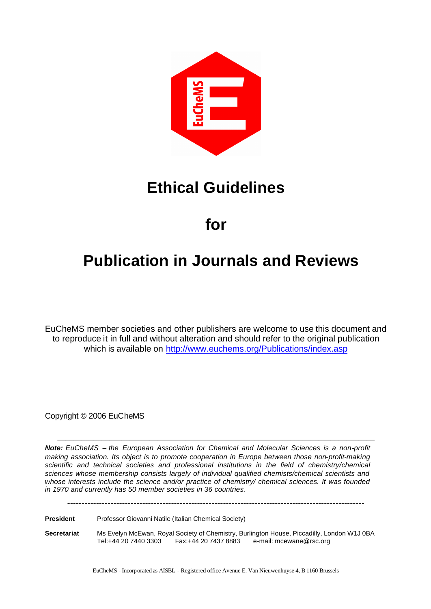

# **Ethical Guidelines**

## **for**

# **Publication in Journals and Reviews**

EuCheMS member societies and other publishers are welcome to use this document and to reproduce it in full and without alteration and should refer to the original publication which is available on http://www.euchems.org/Publications/index.asp

Copyright © 2006 EuCheMS

*Note: EuCheMS – the European Association for Chemical and Molecular Sciences is a non-profit making association. Its object is to promote cooperation in Europe between those non-profit-making scientific and technical societies and professional institutions in the field of chemistry/chemical sciences whose membership consists largely of individual qualified chemists/chemical scientists and whose interests include the science and/or practice of chemistry/ chemical sciences. It was founded in 1970 and currently has 50 member societies in 36 countries.*

\_\_\_\_\_\_\_\_\_\_\_\_\_\_\_\_\_\_\_\_\_\_\_\_\_\_\_\_\_\_\_\_\_\_\_\_\_\_\_\_\_\_\_\_\_\_\_\_\_\_\_\_\_\_\_\_\_\_\_\_\_\_\_\_\_\_\_\_\_\_\_\_\_\_\_\_\_\_\_

-------------------------------------------------------------------------------------------------------

**President** Professor Giovanni Natile (Italian Chemical Society)

**Secretariat** Ms Evelyn McEwan, Royal Society of Chemistry, Burlington House, Piccadilly, London W1J 0BA<br>Tel:+44 20 7440 3303 Fax:+44 20 7437 8883 e-mail: mcewane@rsc.org e-mail: mcewane@rsc.org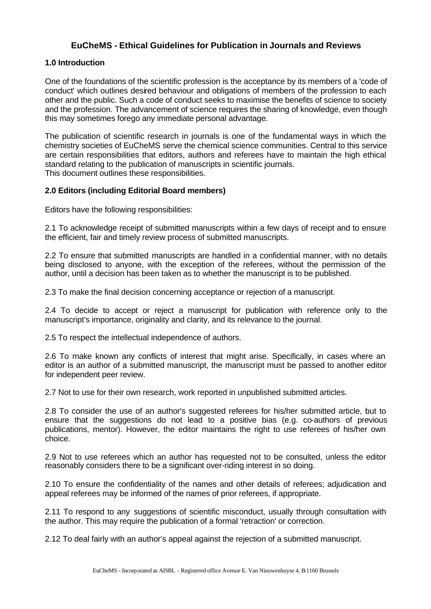### **1.0 Introduction**

One of the foundations of the scientific profession is the acceptance by its members of a 'code of conduct' which outlines desired behaviour and obligations of members of the profession to each other and the public. Such a code of conduct seeks to maximise the benefits of science to society and the profession. The advancement of science requires the sharing of knowledge, even though this may sometimes forego any immediate personal advantage.

The publication of scientific research in journals is one of the fundamental ways in which the chemistry societies of EuCheMS serve the chemical science communities. Central to this service are certain responsibilities that editors, authors and referees have to maintain the high ethical standard relating to the publication of manuscripts in scientific journals. This document outlines these responsibilities.

#### **2.0 Editors (including Editorial Board members)**

Editors have the following responsibilities:

2.1 To acknowledge receipt of submitted manuscripts within a few days of receipt and to ensure the efficient, fair and timely review process of submitted manuscripts.

2.2 To ensure that submitted manuscripts are handled in a confidential manner, with no details being disclosed to anyone, with the exception of the referees, without the permission of the author, until a decision has been taken as to whether the manuscript is to be published.

2.3 To make the final decision concerning acceptance or rejection of a manuscript.

2.4 To decide to accept or reject a manuscript for publication with reference only to the manuscript's importance, originality and clarity, and its relevance to the journal.

2.5 To respect the intellectual independence of authors.

2.6 To make known any conflicts of interest that might arise. Specifically, in cases where an editor is an author of a submitted manuscript, the manuscript must be passed to another editor for independent peer review.

2.7 Not to use for their own research, work reported in unpublished submitted articles.

2.8 To consider the use of an author's suggested referees for his/her submitted article, but to ensure that the suggestions do not lead to a positive bias (e.g. co-authors of previous publications, mentor). However, the editor maintains the right to use referees of his/her own choice.

2.9 Not to use referees which an author has requested not to be consulted, unless the editor reasonably considers there to be a significant over-riding interest in so doing.

2.10 To ensure the confidentiality of the names and other details of referees; adjudication and appeal referees may be informed of the names of prior referees, if appropriate.

2.11 To respond to any suggestions of scientific misconduct, usually through consultation with the author. This may require the publication of a formal 'retraction' or correction.

2.12 To deal fairly with an author's appeal against the rejection of a submitted manuscript.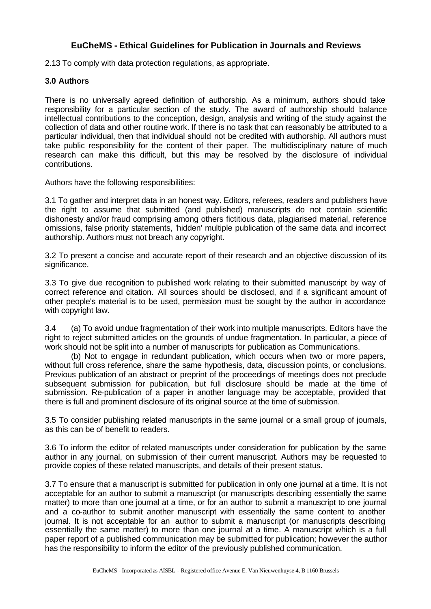2.13 To comply with data protection regulations, as appropriate.

#### **3.0 Authors**

There is no universally agreed definition of authorship. As a minimum, authors should take responsibility for a particular section of the study. The award of authorship should balance intellectual contributions to the conception, design, analysis and writing of the study against the collection of data and other routine work. If there is no task that can reasonably be attributed to a particular individual, then that individual should not be credited with authorship. All authors must take public responsibility for the content of their paper. The multidisciplinary nature of much research can make this difficult, but this may be resolved by the disclosure of individual contributions.

Authors have the following responsibilities:

3.1 To gather and interpret data in an honest way. Editors, referees, readers and publishers have the right to assume that submitted (and published) manuscripts do not contain scientific dishonesty and/or fraud comprising among others fictitious data, plagiarised material, reference omissions, false priority statements, 'hidden' multiple publication of the same data and incorrect authorship. Authors must not breach any copyright.

3.2 To present a concise and accurate report of their research and an objective discussion of its significance.

3.3 To give due recognition to published work relating to their submitted manuscript by way of correct reference and citation. All sources should be disclosed, and if a significant amount of other people's material is to be used, permission must be sought by the author in accordance with copyright law.

3.4 (a) To avoid undue fragmentation of their work into multiple manuscripts. Editors have the right to reject submitted articles on the grounds of undue fragmentation. In particular, a piece of work should not be split into a number of manuscripts for publication as Communications.

(b) Not to engage in redundant publication, which occurs when two or more papers, without full cross reference, share the same hypothesis, data, discussion points, or conclusions. Previous publication of an abstract or preprint of the proceedings of meetings does not preclude subsequent submission for publication, but full disclosure should be made at the time of submission. Re-publication of a paper in another language may be acceptable, provided that there is full and prominent disclosure of its original source at the time of submission.

3.5 To consider publishing related manuscripts in the same journal or a small group of journals, as this can be of benefit to readers.

3.6 To inform the editor of related manuscripts under consideration for publication by the same author in any journal, on submission of their current manuscript. Authors may be requested to provide copies of these related manuscripts, and details of their present status.

3.7 To ensure that a manuscript is submitted for publication in only one journal at a time. It is not acceptable for an author to submit a manuscript (or manuscripts describing essentially the same matter) to more than one journal at a time, or for an author to submit a manuscript to one journal and a co-author to submit another manuscript with essentially the same content to another journal. It is not acceptable for an author to submit a manuscript (or manuscripts describing essentially the same matter) to more than one journal at a time. A manuscript which is a full paper report of a published communication may be submitted for publication; however the author has the responsibility to inform the editor of the previously published communication.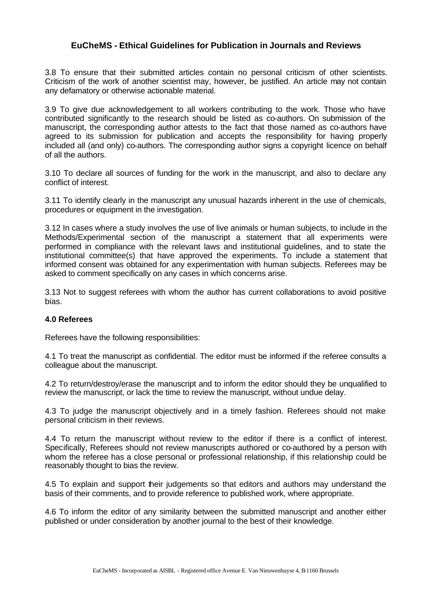3.8 To ensure that their submitted articles contain no personal criticism of other scientists. Criticism of the work of another scientist may, however, be justified. An article may not contain any defamatory or otherwise actionable material.

3.9 To give due acknowledgement to all workers contributing to the work. Those who have contributed significantly to the research should be listed as co-authors. On submission of the manuscript, the corresponding author attests to the fact that those named as co-authors have agreed to its submission for publication and accepts the responsibility for having properly included all (and only) co-authors. The corresponding author signs a copyright licence on behalf of all the authors.

3.10 To declare all sources of funding for the work in the manuscript, and also to declare any conflict of interest.

3.11 To identify clearly in the manuscript any unusual hazards inherent in the use of chemicals, procedures or equipment in the investigation.

3.12 In cases where a study involves the use of live animals or human subjects, to include in the Methods/Experimental section of the manuscript a statement that all experiments were performed in compliance with the relevant laws and institutional guidelines, and to state the institutional committee(s) that have approved the experiments. To include a statement that informed consent was obtained for any experimentation with human subjects. Referees may be asked to comment specifically on any cases in which concerns arise.

3.13 Not to suggest referees with whom the author has current collaborations to avoid positive bias.

#### **4.0 Referees**

Referees have the following responsibilities:

4.1 To treat the manuscript as confidential. The editor must be informed if the referee consults a colleague about the manuscript.

4.2 To return/destroy/erase the manuscript and to inform the editor should they be unqualified to review the manuscript, or lack the time to review the manuscript, without undue delay.

4.3 To judge the manuscript objectively and in a timely fashion. Referees should not make personal criticism in their reviews.

4.4 To return the manuscript without review to the editor if there is a conflict of interest. Specifically, Referees should not review manuscripts authored or co-authored by a person with whom the referee has a close personal or professional relationship, if this relationship could be reasonably thought to bias the review.

4.5 To explain and support their judgements so that editors and authors may understand the basis of their comments, and to provide reference to published work, where appropriate.

4.6 To inform the editor of any similarity between the submitted manuscript and another either published or under consideration by another journal to the best of their knowledge.